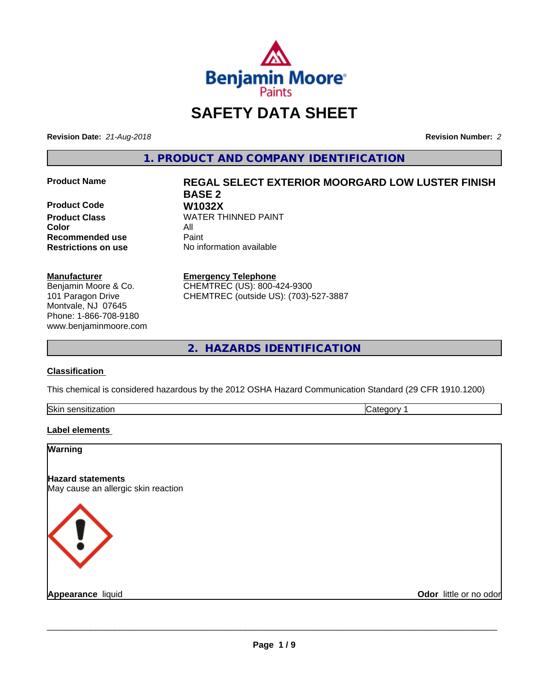

# **SAFETY DATA SHEET**

**Revision Date:** *21-Aug-2018* **Revision Number:** *2*

**1. PRODUCT AND COMPANY IDENTIFICATION**

**Product Code W1032X**<br>**Product Class** WATER TH **Color Recommended use Caint** 

#### **Manufacturer**

Benjamin Moore & Co. 101 Paragon Drive Montvale, NJ 07645 Phone: 1-866-708-9180 www.benjaminmoore.com

# **Product Name REGAL SELECT EXTERIOR MOORGARD LOW LUSTER FINISH BASE 2 WATER THINNED PAINT**<br>All

**Restrictions on use** No information available

**Emergency Telephone**

CHEMTREC (US): 800-424-9300 CHEMTREC (outside US): (703)-527-3887

**2. HAZARDS IDENTIFICATION**

#### **Classification**

This chemical is considered hazardous by the 2012 OSHA Hazard Communication Standard (29 CFR 1910.1200)

| Skin<br>------<br>dliuli<br>55U.<br> | . |
|--------------------------------------|---|
|                                      |   |

#### **Label elements**

| Warning                                                         |                        |
|-----------------------------------------------------------------|------------------------|
| <b>Hazard statements</b><br>May cause an allergic skin reaction |                        |
| K ! >                                                           |                        |
| Appearance liquid                                               | Odor little or no odor |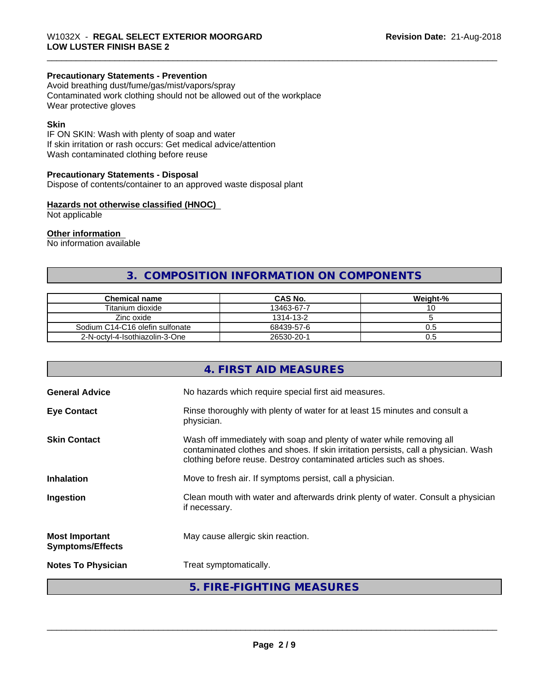## **Precautionary Statements - Prevention**

Avoid breathing dust/fume/gas/mist/vapors/spray Contaminated work clothing should not be allowed out of the workplace Wear protective gloves

#### **Skin**

IF ON SKIN: Wash with plenty of soap and water If skin irritation or rash occurs: Get medical advice/attention Wash contaminated clothing before reuse

#### **Precautionary Statements - Disposal**

Dispose of contents/container to an approved waste disposal plant

#### **Hazards not otherwise classified (HNOC)**

Not applicable

#### **Other information**

No information available

# **3. COMPOSITION INFORMATION ON COMPONENTS**

| <b>Chemical name</b>            | <b>CAS No.</b> | Weight-% |
|---------------------------------|----------------|----------|
| Titanium dioxide                | 13463-67-7     | ັ        |
| Zinc oxide                      | 1314-13-2      |          |
| Sodium C14-C16 olefin sulfonate | 68439-57-6     | U.5      |
| 2-N-octyl-4-Isothiazolin-3-One  | 26530-20-1     | U.5      |

|                                                  | 4. FIRST AID MEASURES                                                                                                                                                                                                               |
|--------------------------------------------------|-------------------------------------------------------------------------------------------------------------------------------------------------------------------------------------------------------------------------------------|
| <b>General Advice</b>                            | No hazards which require special first aid measures.                                                                                                                                                                                |
| <b>Eye Contact</b>                               | Rinse thoroughly with plenty of water for at least 15 minutes and consult a<br>physician.                                                                                                                                           |
| <b>Skin Contact</b>                              | Wash off immediately with soap and plenty of water while removing all<br>contaminated clothes and shoes. If skin irritation persists, call a physician. Wash<br>clothing before reuse. Destroy contaminated articles such as shoes. |
| <b>Inhalation</b>                                | Move to fresh air. If symptoms persist, call a physician.                                                                                                                                                                           |
| Ingestion                                        | Clean mouth with water and afterwards drink plenty of water. Consult a physician<br>if necessary.                                                                                                                                   |
| <b>Most Important</b><br><b>Symptoms/Effects</b> | May cause allergic skin reaction.                                                                                                                                                                                                   |
| <b>Notes To Physician</b>                        | Treat symptomatically.                                                                                                                                                                                                              |
|                                                  | 5. FIRE-FIGHTING MEASURES                                                                                                                                                                                                           |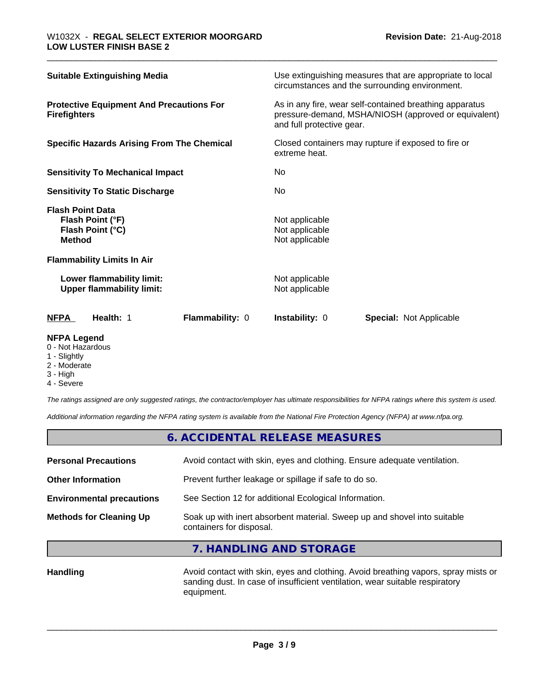| <b>NFPA</b><br>Health: 1<br>Flammability: 0                                      | <b>Instability: 0</b><br><b>Special: Not Applicable</b>                                                                                      |  |
|----------------------------------------------------------------------------------|----------------------------------------------------------------------------------------------------------------------------------------------|--|
| Lower flammability limit:<br><b>Upper flammability limit:</b>                    | Not applicable<br>Not applicable                                                                                                             |  |
| <b>Flammability Limits In Air</b>                                                |                                                                                                                                              |  |
| <b>Flash Point Data</b><br>Flash Point (°F)<br>Flash Point (°C)<br><b>Method</b> | Not applicable<br>Not applicable<br>Not applicable                                                                                           |  |
| <b>Sensitivity To Static Discharge</b>                                           | No.                                                                                                                                          |  |
| <b>Sensitivity To Mechanical Impact</b>                                          | No.                                                                                                                                          |  |
| <b>Specific Hazards Arising From The Chemical</b>                                | Closed containers may rupture if exposed to fire or<br>extreme heat.                                                                         |  |
| <b>Protective Equipment And Precautions For</b><br><b>Firefighters</b>           | As in any fire, wear self-contained breathing apparatus<br>pressure-demand, MSHA/NIOSH (approved or equivalent)<br>and full protective gear. |  |
| <b>Suitable Extinguishing Media</b>                                              | Use extinguishing measures that are appropriate to local<br>circumstances and the surrounding environment.                                   |  |

#### **NFPA Legend**

- 0 Not Hazardous
- 1 Slightly
- 2 Moderate
- 3 High
- 4 Severe

*The ratings assigned are only suggested ratings, the contractor/employer has ultimate responsibilities for NFPA ratings where this system is used.*

*Additional information regarding the NFPA rating system is available from the National Fire Protection Agency (NFPA) at www.nfpa.org.*

# **6. ACCIDENTAL RELEASE MEASURES**

| <b>Methods for Cleaning Up</b>   | Soak up with inert absorbent material. Sweep up and shovel into suitable<br>containers for disposal. |
|----------------------------------|------------------------------------------------------------------------------------------------------|
| <b>Environmental precautions</b> | See Section 12 for additional Ecological Information.                                                |
| <b>Other Information</b>         | Prevent further leakage or spillage if safe to do so.                                                |
| <b>Personal Precautions</b>      | Avoid contact with skin, eyes and clothing. Ensure adequate ventilation.                             |
|                                  |                                                                                                      |

#### **7. HANDLING AND STORAGE**

Handling **Handling Avoid contact with skin, eyes and clothing.** Avoid breathing vapors, spray mists or sanding dust. In case of insufficient ventilation, wear suitable respiratory equipment.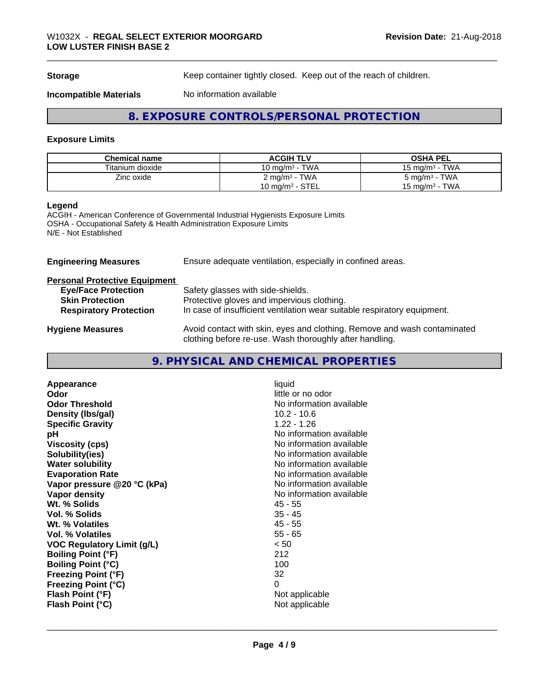**Storage** Keep container tightly closed. Keep out of the reach of children.

**Incompatible Materials** No information available

# **8. EXPOSURE CONTROLS/PERSONAL PROTECTION**

#### **Exposure Limits**

| <b>Chemical name</b> | <b>ACGIH TLV</b>           | <b>OSHA PEL</b>           |
|----------------------|----------------------------|---------------------------|
| Titanium dioxide     | 10 mg/m $3$ - TWA          | 15 mg/m $3$ - TWA         |
| Zinc oxide           | 2 mg/m <sup>3</sup> - TWA  | 5 mg/m <sup>3</sup> - TWA |
|                      | $10 \text{ mg/m}^3$ - STEL | 15 mg/m $3$ - TWA         |

#### **Legend**

ACGIH - American Conference of Governmental Industrial Hygienists Exposure Limits OSHA - Occupational Safety & Health Administration Exposure Limits N/E - Not Established

**Engineering Measures** Ensure adequate ventilation, especially in confined areas.

| <b>Personal Protective Equipment</b> |               |
|--------------------------------------|---------------|
| <b>Eye/Face Protection</b>           | Safety glass  |
| <b>Skin Protection</b>               | Protective gl |

| <b>Eye/Face Protection</b>    | Safety glasses with side-shields.                                        |
|-------------------------------|--------------------------------------------------------------------------|
| Skin Protection               | Protective gloves and impervious clothing.                               |
| <b>Respiratory Protection</b> | In case of insufficient ventilation wear suitable respiratory equipment. |
|                               |                                                                          |

**Hygiene Measures** Avoid contact with skin, eyes and clothing. Remove and wash contaminated clothing before re-use. Wash thoroughly after handling.

# **9. PHYSICAL AND CHEMICAL PROPERTIES**

| Appearance<br>Odor<br><b>Odor Threshold</b><br>Density (Ibs/gal)<br><b>Specific Gravity</b><br>рH | liquid<br>little or no odor<br>No information available<br>$10.2 - 10.6$<br>$1.22 - 1.26$<br>No information available |
|---------------------------------------------------------------------------------------------------|-----------------------------------------------------------------------------------------------------------------------|
| <b>Viscosity (cps)</b>                                                                            | No information available                                                                                              |
| Solubility(ies)                                                                                   | No information available                                                                                              |
| <b>Water solubility</b>                                                                           | No information available                                                                                              |
| <b>Evaporation Rate</b>                                                                           | No information available                                                                                              |
| Vapor pressure @20 °C (kPa)                                                                       | No information available                                                                                              |
| Vapor density                                                                                     | No information available                                                                                              |
| Wt. % Solids                                                                                      | 45 - 55                                                                                                               |
| Vol. % Solids                                                                                     | $35 - 45$                                                                                                             |
| Wt. % Volatiles                                                                                   | $45 - 55$                                                                                                             |
| Vol. % Volatiles                                                                                  | $55 - 65$                                                                                                             |
| <b>VOC Regulatory Limit (g/L)</b>                                                                 | < 50                                                                                                                  |
| <b>Boiling Point (°F)</b>                                                                         | 212                                                                                                                   |
| <b>Boiling Point (°C)</b>                                                                         | 100                                                                                                                   |
| <b>Freezing Point (°F)</b>                                                                        | 32                                                                                                                    |
| <b>Freezing Point (°C)</b>                                                                        | 0                                                                                                                     |
| Flash Point (°F)                                                                                  | Not applicable                                                                                                        |
| Flash Point (°C)                                                                                  | Not applicable                                                                                                        |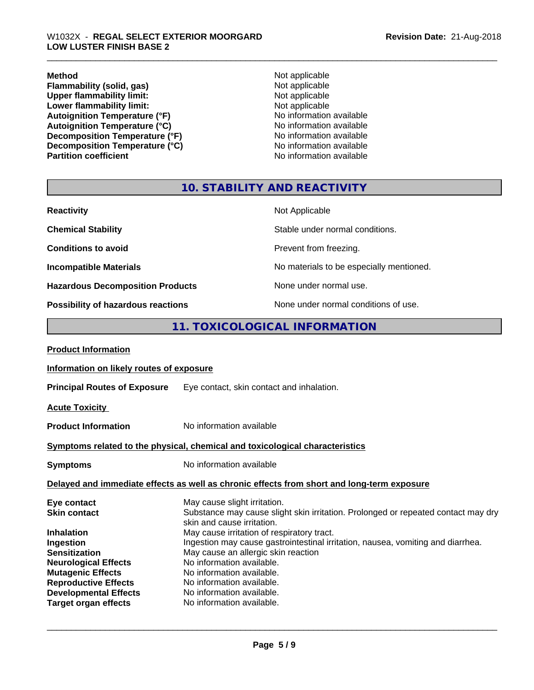**Method** Not applicable **Flammability (solid, gas)** Not applicable<br>
Upper flammability limit:<br>
Not applicable<br>
Not applicable **Upper flammability limit:**<br> **Lower flammability limit:**<br>
Not applicable<br>
Not applicable **Lower flammability limit:**<br> **Autoignition Temperature (°F)**<br>
Mo information available Autoignition Temperature (°F)<br>
Autoignition Temperature (°C)<br>
No information available Autoignition Temperature (°C)<br>
Decomposition Temperature (°F)<br>
No information available **Decomposition Temperature (°F)**<br> **Decomposition Temperature (°C)**<br>
No information available **Decomposition Temperature (°C)**<br>Partition coefficient

**No information available** 

## **10. STABILITY AND REACTIVITY**

| <b>Reactivity</b>                         | Not Applicable                           |
|-------------------------------------------|------------------------------------------|
| <b>Chemical Stability</b>                 | Stable under normal conditions.          |
| <b>Conditions to avoid</b>                | Prevent from freezing.                   |
| <b>Incompatible Materials</b>             | No materials to be especially mentioned. |
| <b>Hazardous Decomposition Products</b>   | None under normal use.                   |
| <b>Possibility of hazardous reactions</b> | None under normal conditions of use.     |

# **11. TOXICOLOGICAL INFORMATION**

| Information on likely routes of exposure                                                                                                                                                                                                                                                                              |
|-----------------------------------------------------------------------------------------------------------------------------------------------------------------------------------------------------------------------------------------------------------------------------------------------------------------------|
| Eye contact, skin contact and inhalation.                                                                                                                                                                                                                                                                             |
|                                                                                                                                                                                                                                                                                                                       |
| No information available                                                                                                                                                                                                                                                                                              |
| Symptoms related to the physical, chemical and toxicological characteristics                                                                                                                                                                                                                                          |
| No information available                                                                                                                                                                                                                                                                                              |
| Delayed and immediate effects as well as chronic effects from short and long-term exposure                                                                                                                                                                                                                            |
| May cause slight irritation.<br>Substance may cause slight skin irritation. Prolonged or repeated contact may dry<br>skin and cause irritation.                                                                                                                                                                       |
| May cause irritation of respiratory tract.<br>Ingestion may cause gastrointestinal irritation, nausea, vomiting and diarrhea.<br>May cause an allergic skin reaction<br>No information available.<br>No information available.<br>No information available.<br>No information available.<br>No information available. |
|                                                                                                                                                                                                                                                                                                                       |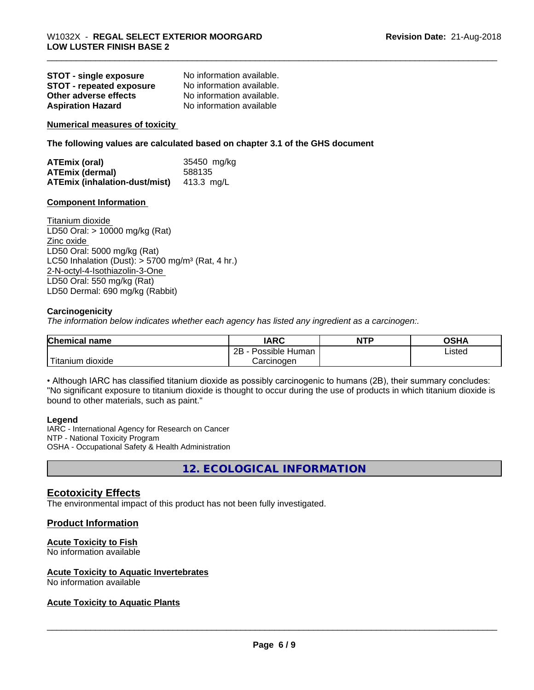| <b>STOT - single exposure</b>   | No information available. |
|---------------------------------|---------------------------|
| <b>STOT - repeated exposure</b> | No information available. |
| Other adverse effects           | No information available. |
| <b>Aspiration Hazard</b>        | No information available  |

**Numerical measures of toxicity**

**The following values are calculated based on chapter 3.1 of the GHS document**

| ATEmix (oral)                                   | 35450 mg/kg |
|-------------------------------------------------|-------------|
| <b>ATEmix (dermal)</b>                          | 588135      |
| <b>ATEmix (inhalation-dust/mist)</b> 413.3 mg/L |             |

#### **Component Information**

Titanium dioxide LD50 Oral: > 10000 mg/kg (Rat) Zinc oxide LD50 Oral: 5000 mg/kg (Rat) LC50 Inhalation (Dust):  $> 5700$  mg/m<sup>3</sup> (Rat, 4 hr.) 2-N-octyl-4-Isothiazolin-3-One LD50 Oral: 550 mg/kg (Rat) LD50 Dermal: 690 mg/kg (Rabbit)

#### **Carcinogenicity**

*The information below indicateswhether each agency has listed any ingredient as a carcinogen:.*

| <b>Chemical name</b>           | <b>IARC</b>                  | <b>NTP</b> | <b>OSHA</b> |
|--------------------------------|------------------------------|------------|-------------|
|                                | .<br>2B<br>Human<br>Possible |            | Listed      |
| $-1$<br>n dioxide<br>l itanıum | Carcinoɑen                   |            |             |

• Although IARC has classified titanium dioxide as possibly carcinogenic to humans (2B), their summary concludes: "No significant exposure to titanium dioxide is thought to occur during the use of products in which titanium dioxide is bound to other materials, such as paint."

#### **Legend**

IARC - International Agency for Research on Cancer NTP - National Toxicity Program OSHA - Occupational Safety & Health Administration

**12. ECOLOGICAL INFORMATION**

#### **Ecotoxicity Effects**

The environmental impact of this product has not been fully investigated.

#### **Product Information**

#### **Acute Toxicity to Fish**

No information available

#### **Acute Toxicity to Aquatic Invertebrates**

No information available

#### **Acute Toxicity to Aquatic Plants**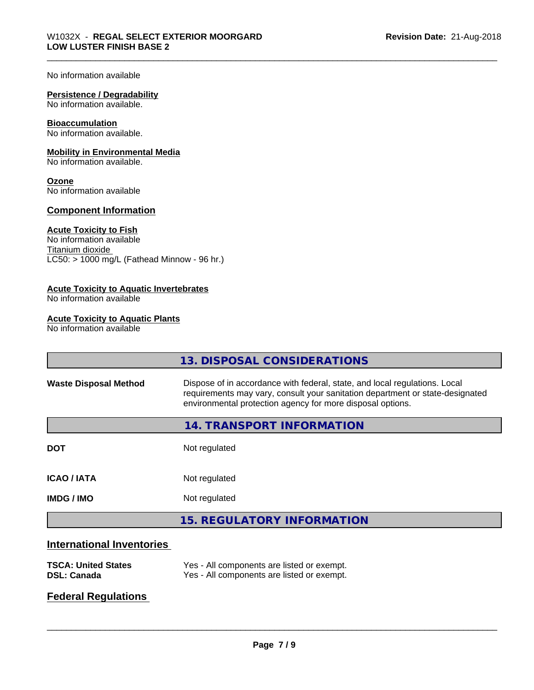No information available

### **Persistence / Degradability**

No information available.

#### **Bioaccumulation**

No information available.

#### **Mobility in Environmental Media**

No information available.

#### **Ozone**

No information available

#### **Component Information**

#### **Acute Toxicity to Fish**

No information available Titanium dioxide  $LC50:$  > 1000 mg/L (Fathead Minnow - 96 hr.)

#### **Acute Toxicity to Aquatic Invertebrates**

No information available

#### **Acute Toxicity to Aquatic Plants**

No information available

|                                                         | 13. DISPOSAL CONSIDERATIONS                                                                                                                                                                                               |  |
|---------------------------------------------------------|---------------------------------------------------------------------------------------------------------------------------------------------------------------------------------------------------------------------------|--|
| <b>Waste Disposal Method</b>                            | Dispose of in accordance with federal, state, and local regulations. Local<br>requirements may vary, consult your sanitation department or state-designated<br>environmental protection agency for more disposal options. |  |
|                                                         | 14. TRANSPORT INFORMATION                                                                                                                                                                                                 |  |
| <b>DOT</b>                                              | Not regulated                                                                                                                                                                                                             |  |
| <b>ICAO/IATA</b>                                        | Not regulated                                                                                                                                                                                                             |  |
| <b>IMDG / IMO</b>                                       | Not regulated                                                                                                                                                                                                             |  |
|                                                         | <b>15. REGULATORY INFORMATION</b>                                                                                                                                                                                         |  |
| the discussion of the second theory of second contracts |                                                                                                                                                                                                                           |  |

#### **International Inventories**

| <b>TSCA: United States</b> | Yes - All components are listed or exempt. |
|----------------------------|--------------------------------------------|
| <b>DSL: Canada</b>         | Yes - All components are listed or exempt. |

# **Federal Regulations**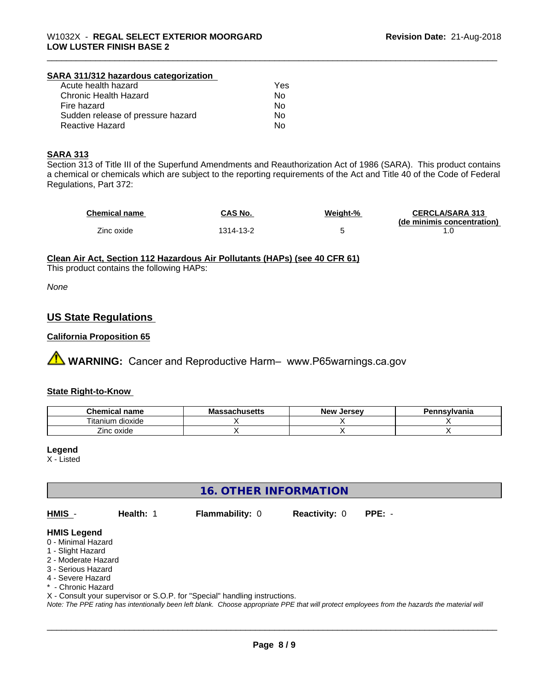#### **SARA 311/312 hazardous categorization**

| Acute health hazard               | Yes |
|-----------------------------------|-----|
| Chronic Health Hazard             | Nο  |
| Fire hazard                       | Nο  |
| Sudden release of pressure hazard | Nο  |
| Reactive Hazard                   | N٥  |

#### **SARA 313**

Section 313 of Title III of the Superfund Amendments and Reauthorization Act of 1986 (SARA). This product contains a chemical or chemicals which are subject to the reporting requirements of the Act and Title 40 of the Code of Federal Regulations, Part 372:

| Chemical name | CAS No.   | Weight-% | <b>CERCLA/SARA 313</b>     |
|---------------|-----------|----------|----------------------------|
|               |           |          | (de minimis concentration) |
| Zinc oxide    | 1314-13-2 |          |                            |

#### **Clean Air Act,Section 112 Hazardous Air Pollutants (HAPs) (see 40 CFR 61)**

This product contains the following HAPs:

*None*

### **US State Regulations**

#### **California Proposition 65**

**A WARNING:** Cancer and Reproductive Harm– www.P65warnings.ca.gov

#### **State Right-to-Know**

| Chemical<br>name     | - -<br>เบเนจဗแจ | Jersev<br>Nev ' | ⊇nsvlvania |
|----------------------|-----------------|-----------------|------------|
| dioxide<br>l itanıum |                 |                 |            |
| Zinc oxide           |                 |                 |            |

#### **Legend**

X - Listed

# **16. OTHER INFORMATION**

**HMIS** - **Health:** 1 **Flammability:** 0 **Reactivity:** 0 **PPE:** -

 $\overline{\phantom{a}}$  ,  $\overline{\phantom{a}}$  ,  $\overline{\phantom{a}}$  ,  $\overline{\phantom{a}}$  ,  $\overline{\phantom{a}}$  ,  $\overline{\phantom{a}}$  ,  $\overline{\phantom{a}}$  ,  $\overline{\phantom{a}}$  ,  $\overline{\phantom{a}}$  ,  $\overline{\phantom{a}}$  ,  $\overline{\phantom{a}}$  ,  $\overline{\phantom{a}}$  ,  $\overline{\phantom{a}}$  ,  $\overline{\phantom{a}}$  ,  $\overline{\phantom{a}}$  ,  $\overline{\phantom{a}}$ 

#### **HMIS Legend**

- 0 Minimal Hazard
- 1 Slight Hazard
- 2 Moderate Hazard
- 3 Serious Hazard
- 4 Severe Hazard
- \* Chronic Hazard
- X Consult your supervisor or S.O.P. for "Special" handling instructions.

*Note: The PPE rating has intentionally been left blank. Choose appropriate PPE that will protect employees from the hazards the material will*